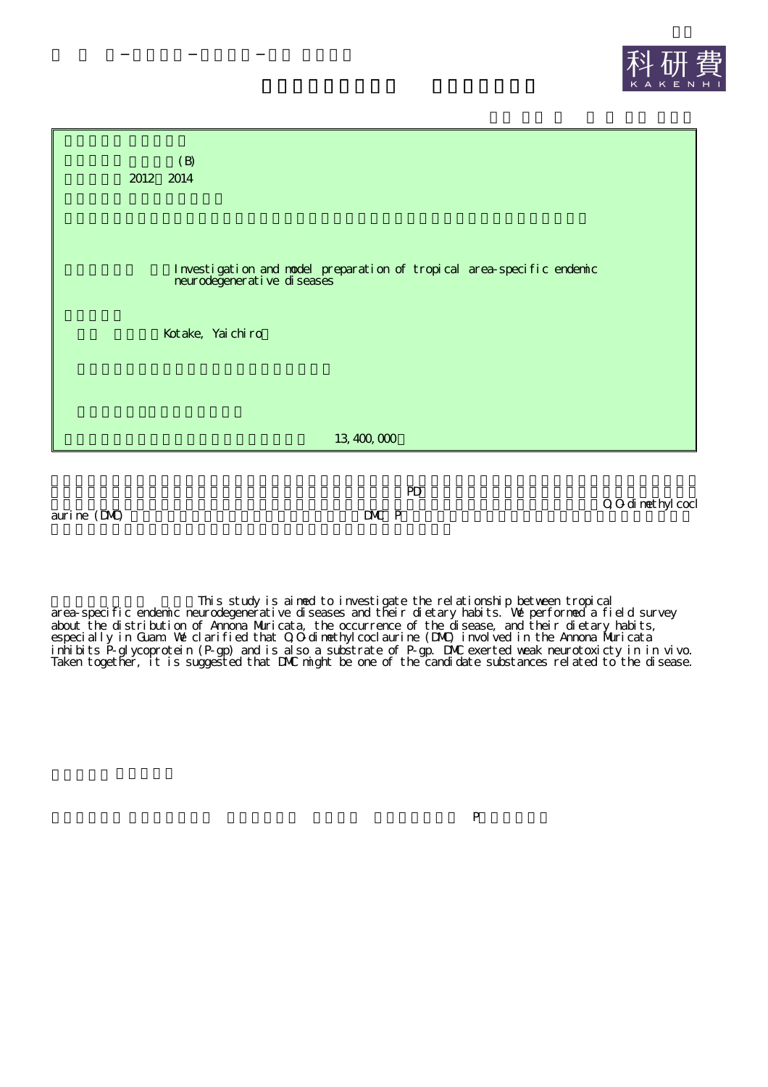



aurine (DMC) DMC P

PD

O,O-dimethylcocl

This study is aimed to investigate the relationship between tropical area-specific endemic neurodegenerative diseases and their dietary habits. We performed a field survey about the distribution of Annona Muricata, the occurrence of the disease, and their dietary habits, especially in Guam. We clarified that O,O-dimethylcoclaurine (DMC) involved in the Annona Muricata inhibits P-glycoprotein (P-gp) and is also a substrate of P-gp. DMC exerted weak neurotoxicty in in vivo. Taken together, it is suggested that DMC might be one of the candidate substances related to the disease.

 $\mathbb P$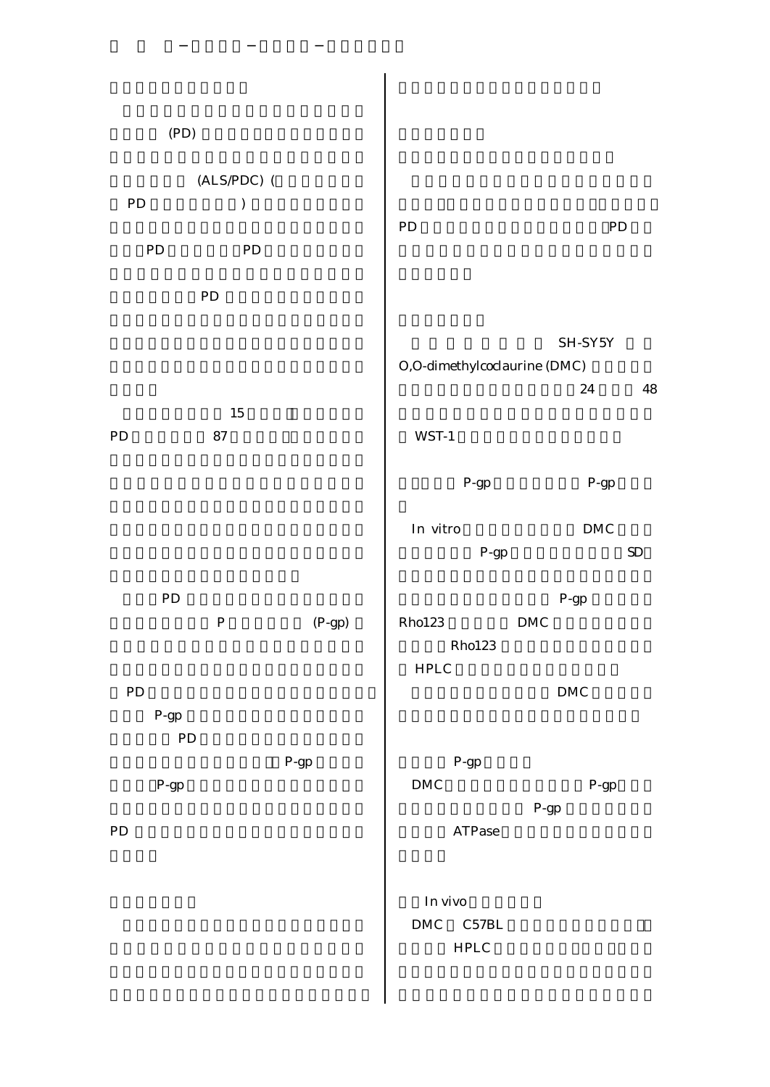| (PD)                            |                                 |                                               |                                 |
|---------------------------------|---------------------------------|-----------------------------------------------|---------------------------------|
|                                 | $(ALS/PDC)$ (                   |                                               |                                 |
| ${\rm PD}$                      | $\mathcal{C}^{\prime}$          |                                               |                                 |
|                                 |                                 | PD                                            | ${\rm PD}$                      |
| ${\rm PD}$                      | ${\rm PD}$                      |                                               |                                 |
| ${\rm PD}$                      |                                 |                                               |                                 |
|                                 |                                 | O,O-dimethylcoclaurine (DMC)                  | SH-SY5Y                         |
|                                 |                                 |                                               | $\bf 24$<br>${\bf 48}$          |
| PD<br>${\bf 87}$                | 15                              | $WST-1$                                       |                                 |
|                                 |                                 | $P-gp$                                        | $\mathbf{P}\text{-}\mathbf{gp}$ |
|                                 |                                 | $\mathop{\mathit{In}}\nolimits$ vitro         | $\mathop{\rm DMC}\nolimits$     |
|                                 |                                 | $P-gp$                                        | SD                              |
| ${\rm PD}$                      |                                 |                                               | $\mathbf{P}\text{-}\mathbf{gp}$ |
| $\, {\bf P}$                    | $(P-gp)$                        | Rho123                                        | <b>DMC</b>                      |
|                                 |                                 | Rho123                                        |                                 |
|                                 |                                 | ${\rm HPLC}$                                  |                                 |
| ${\rm PD}$                      |                                 |                                               | ${\rm DMC}$                     |
| $P-gp$                          |                                 |                                               |                                 |
| PD                              | $\mathbf{P}\text{-}\mathbf{gp}$ | P-gp                                          |                                 |
| $\mathbf{P}\text{-}\mathbf{gp}$ |                                 | ${\rm DMC}$                                   | $\mathbf{P}\text{-}\mathbf{gp}$ |
|                                 |                                 |                                               | P-gp                            |
| ${\rm PD}$                      |                                 | $\operatorname{ATPase}$                       |                                 |
|                                 |                                 | In vivo<br>$DMC \qquad C57BL$<br>${\rm HPLC}$ |                                 |
|                                 |                                 |                                               |                                 |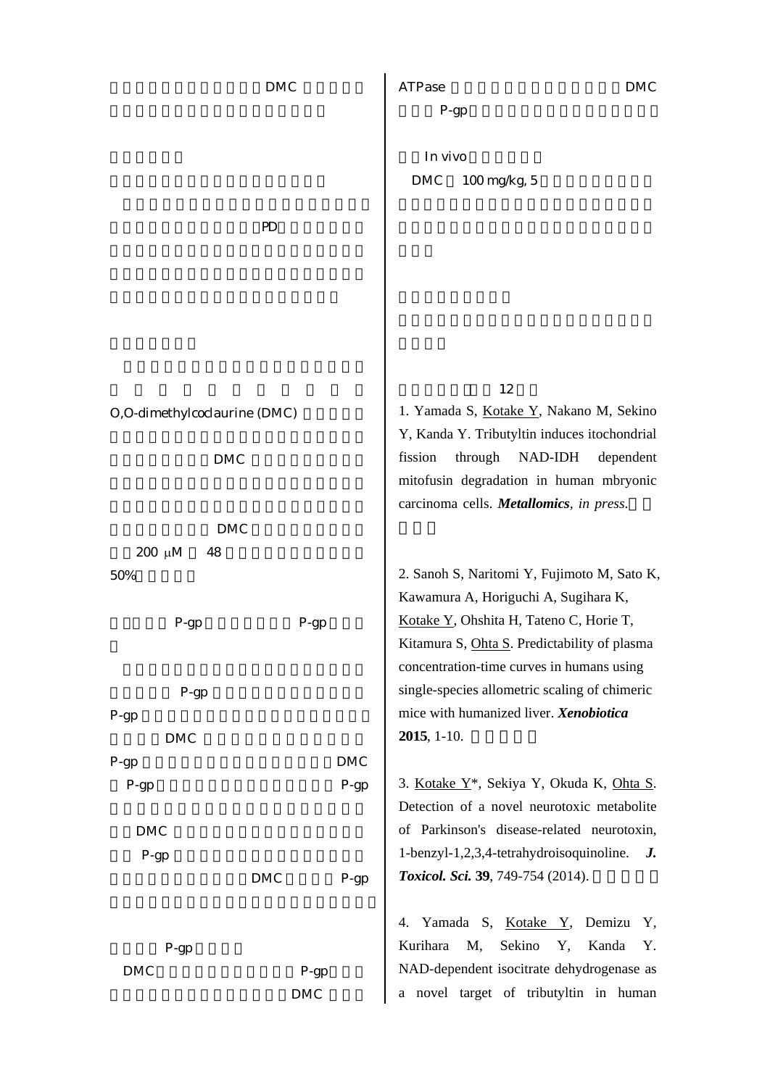|                              | <b>DMC</b>     | <b>ATPase</b><br>DMC                                                                         |
|------------------------------|----------------|----------------------------------------------------------------------------------------------|
|                              |                | P-gp                                                                                         |
|                              |                | In vivo                                                                                      |
|                              |                | <b>DMC</b><br>100 mg/kg, 5                                                                   |
| $\mathbf{P}$                 |                |                                                                                              |
|                              |                |                                                                                              |
|                              |                |                                                                                              |
|                              |                |                                                                                              |
|                              |                |                                                                                              |
|                              |                | 12                                                                                           |
| O,O-dimethylcoclaurine (DMC) |                | 1. Yamada S, Kotake Y, Nakano M, Sekino                                                      |
| <b>DMC</b>                   |                | Y, Kanda Y. Tributyltin induces itochondrial<br>fission<br>through<br>NAD-IDH<br>dependent   |
|                              |                | mitofusin degradation in human mbryonic                                                      |
|                              |                | carcinoma cells. Metallomics, in press.                                                      |
| <b>DMC</b>                   |                |                                                                                              |
| $200 \mu M$<br>48            |                |                                                                                              |
| 50%                          |                | 2. Sanoh S, Naritomi Y, Fujimoto M, Sato K,                                                  |
|                              |                | Kawamura A, Horiguchi A, Sugihara K,                                                         |
| P-gp                         | $P$ -gp        | Kotake Y, Ohshita H, Tateno C, Horie T,                                                      |
|                              |                | Kitamura S, Ohta S. Predictability of plasma<br>concentration-time curves in humans using    |
| $P-gp$                       |                | single-species allometric scaling of chimeric                                                |
| $P-gp$                       |                | mice with humanized liver. Xenobiotica                                                       |
| <b>DMC</b>                   |                | $2015, 1-10.$                                                                                |
| $P-gp$                       | $\mathbf{DMC}$ |                                                                                              |
| $P$ -gp                      | $P-gp$         | 3. Kotake Y <sup>*</sup> , Sekiya Y, Okuda K, Ohta S.                                        |
|                              |                | Detection of a novel neurotoxic metabolite                                                   |
| <b>DMC</b>                   |                | of Parkinson's disease-related neurotoxin,<br>1-benzyl-1,2,3,4-tetrahydroisoquinoline.<br>J. |
| $P$ -gp<br><b>DMC</b>        | $P-gp$         | <b>Toxicol. Sci. 39, 749-754 (2014).</b>                                                     |
|                              |                |                                                                                              |
|                              |                | Yamada S, Kotake Y, Demizu<br>Y,<br>4.                                                       |
| $P-gp$                       |                | Kurihara<br>M,<br>Sekino<br>Y,<br>Kanda<br>Υ.                                                |
| <b>DMC</b>                   | $P-gp$         | NAD-dependent isocitrate dehydrogenase as                                                    |
|                              | <b>DMC</b>     | a novel target of tributyltin in human                                                       |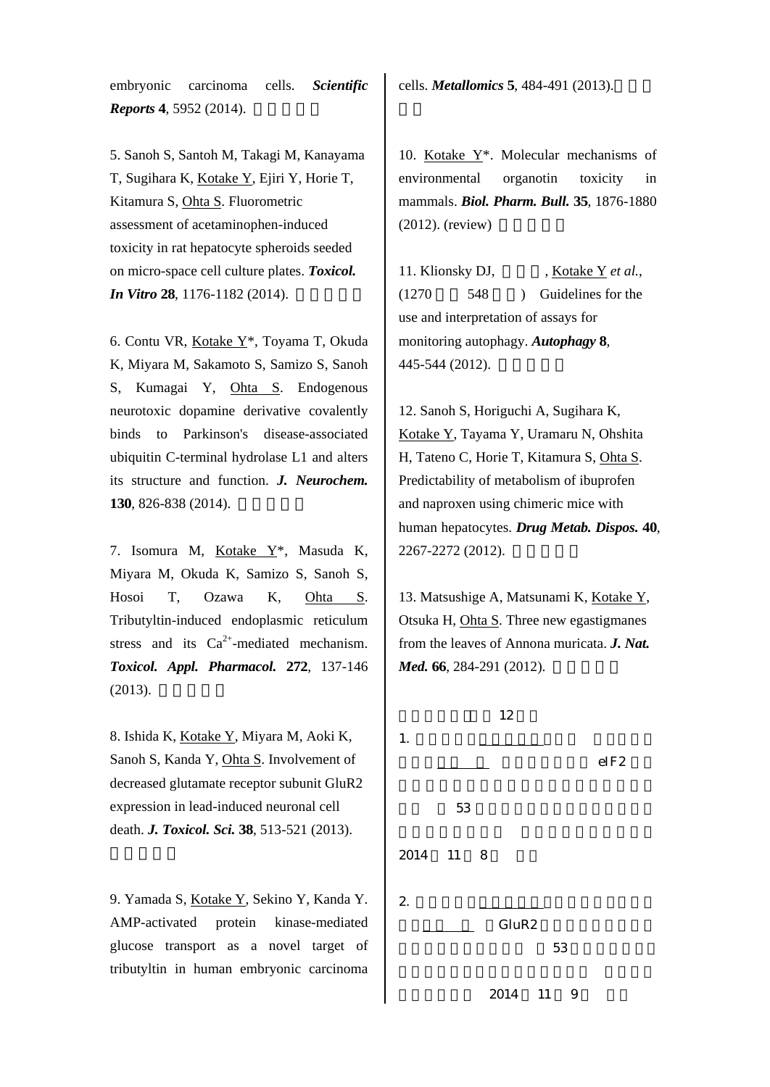embryonic carcinoma cells. *Scientific Reports* **4**, 5952 (2014).

5. Sanoh S, Santoh M, Takagi M, Kanayama T, Sugihara K, Kotake Y, Ejiri Y, Horie T, Kitamura S, Ohta S. Fluorometric assessment of acetaminophen-induced toxicity in rat hepatocyte spheroids seeded on micro-space cell culture plates. *Toxicol. In Vitro* **28**, 1176-1182 (2014).

6. Contu VR, Kotake Y\*, Toyama T, Okuda K, Miyara M, Sakamoto S, Samizo S, Sanoh S, Kumagai Y, Ohta S. Endogenous neurotoxic dopamine derivative covalently binds to Parkinson's disease-associated ubiquitin C-terminal hydrolase L1 and alters its structure and function. *J. Neurochem.* **130**, 826-838 (2014).

7. Isomura M, Kotake Y\*, Masuda K, Miyara M, Okuda K, Samizo S, Sanoh S, Hosoi T, Ozawa K, Ohta S. Tributyltin-induced endoplasmic reticulum stress and its  $Ca^{2+}$ -mediated mechanism. *Toxicol. Appl. Pharmacol.* **272**, 137-146 (2013).

8. Ishida K, Kotake Y, Miyara M, Aoki K, Sanoh S, Kanda Y, Ohta S. Involvement of decreased glutamate receptor subunit GluR2 expression in lead-induced neuronal cell death. *J. Toxicol. Sci.* **38**, 513-521 (2013).

9. Yamada S, Kotake Y, Sekino Y, Kanda Y. AMP-activated protein kinase-mediated glucose transport as a novel target of tributyltin in human embryonic carcinoma

cells. *Metallomics* **5**, 484-491 (2013).

10. Kotake Y\*. Molecular mechanisms of environmental organotin toxicity in mammals. *Biol. Pharm. Bull.* **35**, 1876-1880 (2012). (review)

11. Klionsky DJ, , Kotake Y *et al.*, (1270 548 ) Guidelines for the use and interpretation of assays for monitoring autophagy. *Autophagy* **8**, 445-544 (2012).

12. Sanoh S, Horiguchi A, Sugihara K, Kotake Y, Tayama Y, Uramaru N, Ohshita H, Tateno C, Horie T, Kitamura S, Ohta S. Predictability of metabolism of ibuprofen and naproxen using chimeric mice with human hepatocytes. *Drug Metab. Dispos.* **40**, 2267-2272 (2012).

13. Matsushige A, Matsunami K, Kotake Y, Otsuka H, Ohta S. Three new egastigmanes from the leaves of Annona muricata. *J. Nat. Med.* **66**, 284-291 (2012).

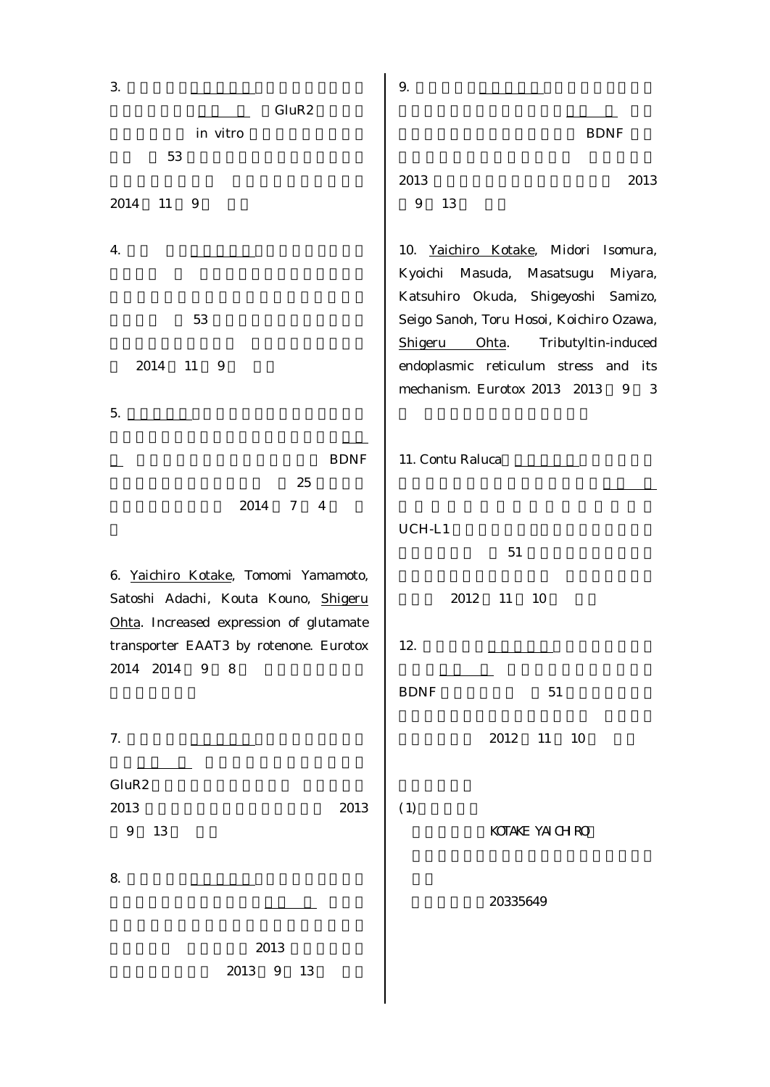